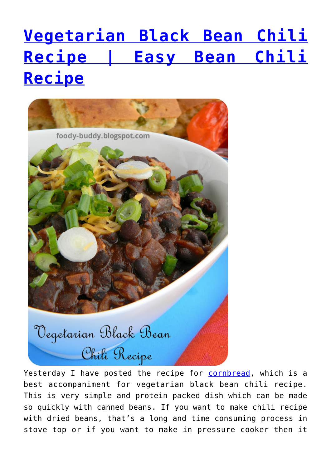# **[Vegetarian Black Bean Chili](https://foodybuddy.net/2013/11/28/vegetarian-black-bean-chili-recipe-easy-bean-chili-recipe.html) [Recipe | Easy Bean Chili](https://foodybuddy.net/2013/11/28/vegetarian-black-bean-chili-recipe-easy-bean-chili-recipe.html) [Recipe](https://foodybuddy.net/2013/11/28/vegetarian-black-bean-chili-recipe-easy-bean-chili-recipe.html)**



Yesterday I have posted the recipe for [cornbread](http://foody-buddy.blogspot.com/2013/11/jalapeno-cheddar-cornbread-recipe.html), which is a best accompaniment for vegetarian black bean chili recipe. This is very simple and protein packed dish which can be made so quickly with canned beans. If you want to make chili recipe with dried beans, that's a long and time consuming process in stove top or if you want to make in pressure cooker then it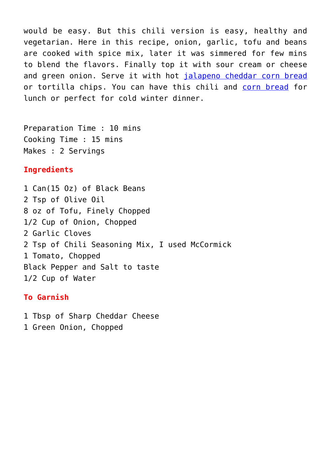would be easy. But this chili version is easy, healthy and vegetarian. Here in this recipe, onion, garlic, tofu and beans are cooked with spice mix, later it was simmered for few mins to blend the flavors. Finally top it with sour cream or cheese and green onion. Serve it with hot [jalapeno cheddar corn bread](http://foody-buddy.blogspot.com/2013/11/jalapeno-cheddar-cornbread-recipe.html) or tortilla chips. You can have this chili and [corn bread](http://foody-buddy.blogspot.com/2013/11/jalapeno-cheddar-cornbread-recipe.html) for lunch or perfect for cold winter dinner.

Preparation Time : 10 mins Cooking Time : 15 mins Makes : 2 Servings

#### **Ingredients**

1 Can(15 Oz) of Black Beans 2 Tsp of Olive Oil 8 oz of Tofu, Finely Chopped 1/2 Cup of Onion, Chopped 2 Garlic Cloves 2 Tsp of Chili Seasoning Mix, I used McCormick 1 Tomato, Chopped Black Pepper and Salt to taste 1/2 Cup of Water

#### **To Garnish**

- 1 Tbsp of Sharp Cheddar Cheese
- 1 Green Onion, Chopped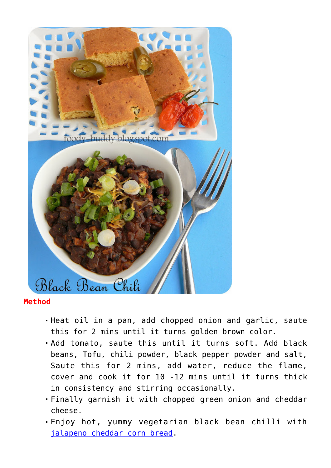

### **Method**

- Heat oil in a pan, add chopped onion and garlic, saute this for 2 mins until it turns golden brown color.
- Add tomato, saute this until it turns soft. Add black beans, Tofu, chili powder, black pepper powder and salt, Saute this for 2 mins, add water, reduce the flame, cover and cook it for 10 -12 mins until it turns thick in consistency and stirring occasionally.
- Finally garnish it with chopped green onion and cheddar cheese.
- Enjoy hot, yummy vegetarian black bean chilli with [jalapeno cheddar corn bread.](http://foody-buddy.blogspot.com/2013/11/jalapeno-cheddar-cornbread-recipe.html)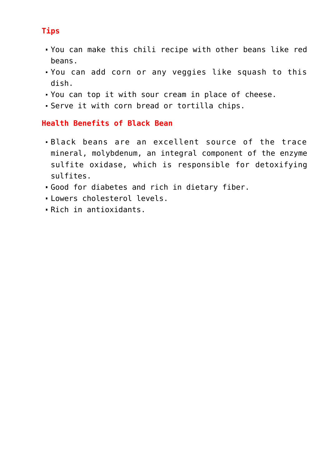# **Tips**

- You can make this chili recipe with other beans like red beans.
- You can add corn or any veggies like squash to this dish.
- You can top it with sour cream in place of cheese.
- Serve it with corn bread or tortilla chips.

## **Health Benefits of Black Bean**

- Black beans are an excellent source of the trace mineral, molybdenum, an integral component of the enzyme sulfite oxidase, which is responsible for detoxifying sulfites.
- Good for diabetes and rich in dietary fiber.
- Lowers cholesterol levels.
- Rich in antioxidants.